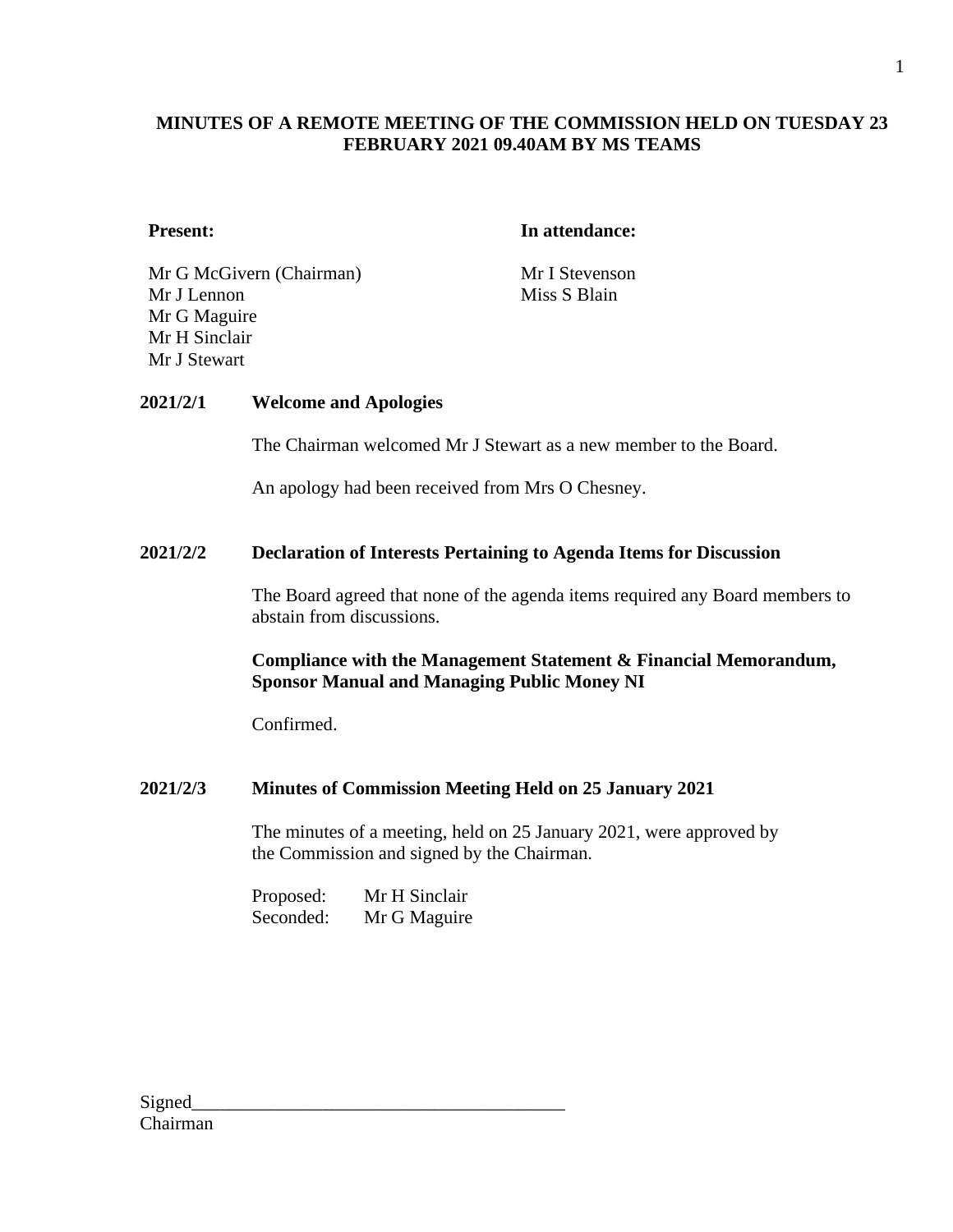# **Present: In attendance:**

Mr G McGivern (Chairman) Mr I Stevenson Mr J Lennon Mr G Maguire Mr H Sinclair Mr J Stewart

Miss S Blain

# **2021/2/1 Welcome and Apologies**

The Chairman welcomed Mr J Stewart as a new member to the Board.

An apology had been received from Mrs O Chesney.

## **2021/2/2 Declaration of Interests Pertaining to Agenda Items for Discussion**

The Board agreed that none of the agenda items required any Board members to abstain from discussions.

# **Compliance with the Management Statement & Financial Memorandum, Sponsor Manual and Managing Public Money NI**

Confirmed.

# **2021/2/3 Minutes of Commission Meeting Held on 25 January 2021**

The minutes of a meeting, held on 25 January 2021, were approved by the Commission and signed by the Chairman.

Proposed: Mr H Sinclair Seconded: Mr G Maguire